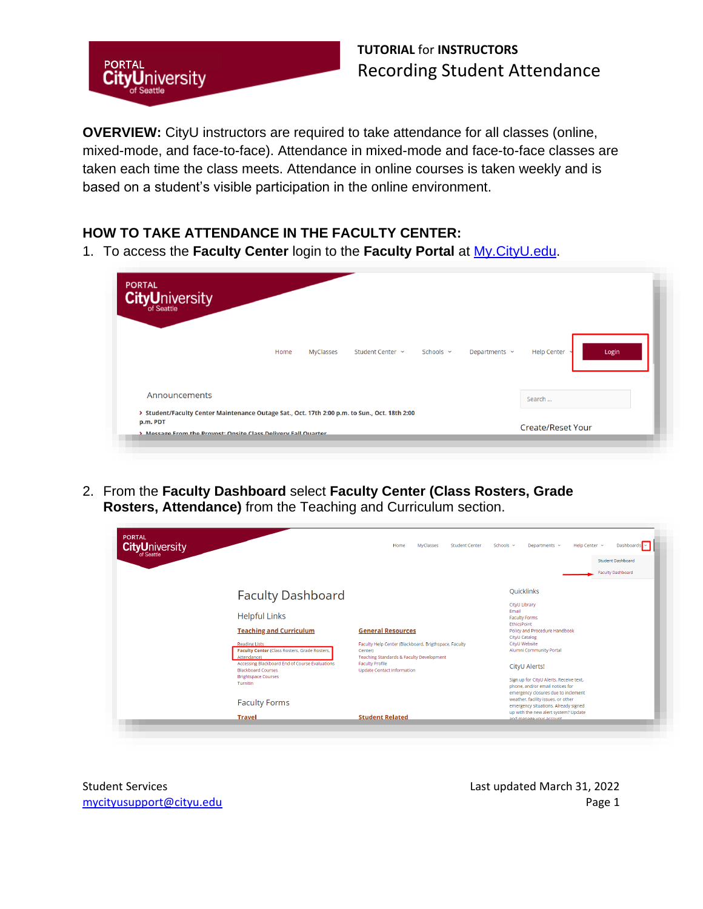

**OVERVIEW:** CityU instructors are required to take attendance for all classes (online, mixed-mode, and face-to-face). Attendance in mixed-mode and face-to-face classes are taken each time the class meets. Attendance in online courses is taken weekly and is based on a student's visible participation in the online environment.

#### **HOW TO TAKE ATTENDANCE IN THE FACULTY CENTER:**

1. To access the **Faculty Center** login to the **Faculty Portal** at [My.CityU.edu.](https://my.cityu.edu/)

| <b>CityUniversity</b>                                                                                                                                                       |      |                  |                  |                |                    |                          |       |
|-----------------------------------------------------------------------------------------------------------------------------------------------------------------------------|------|------------------|------------------|----------------|--------------------|--------------------------|-------|
|                                                                                                                                                                             | Home | <b>MyClasses</b> | Student Center Y | Schools $\sim$ | Departments $\sim$ | <b>Help Center</b>       | Login |
| Announcements                                                                                                                                                               |      |                  |                  |                |                    | Search                   |       |
| > Student/Faculty Center Maintenance Outage Sat., Oct. 17th 2:00 p.m. to Sun., Oct. 18th 2:00<br>p.m. PDT<br>> Message From the Provost: Onsite Class Delivery Fall Quarter |      |                  |                  |                |                    | <b>Create/Reset Your</b> |       |

2. From the **Faculty Dashboard** select **Faculty Center (Class Rosters, Grade Rosters, Attendance)** from the Teaching and Curriculum section.

| <b>PORTAL</b><br><b>CityUniversity</b> |                                                                                                                       | MyClasses<br>Home<br><b>Student Center</b>                                                                   | Schools ~<br>Help Center Y<br>Departments v                                                                                                               | Dashboards ~                                         |
|----------------------------------------|-----------------------------------------------------------------------------------------------------------------------|--------------------------------------------------------------------------------------------------------------|-----------------------------------------------------------------------------------------------------------------------------------------------------------|------------------------------------------------------|
|                                        |                                                                                                                       |                                                                                                              |                                                                                                                                                           | <b>Student Dashboard</b><br><b>Faculty Dashboard</b> |
|                                        | <b>Faculty Dashboard</b>                                                                                              |                                                                                                              | Quicklinks<br>CityU Library                                                                                                                               |                                                      |
|                                        | <b>Helpful Links</b><br><b>Teaching and Curriculum</b>                                                                | <b>General Resources</b>                                                                                     | Email<br><b>Faculty Forms</b><br><b>EthicsPoint</b><br>Policy and Procedure Handbook                                                                      |                                                      |
|                                        | <b>Reading Lists</b><br>Faculty Center (Class Rosters, Grade Rosters,<br>Attendance)                                  | Faculty Help Center (Blackboard, Brigthspace, Faculty<br>Center)<br>Teaching Standards & Faculty Development | CityU Catalog<br>CityU Website<br>Alumni Community Portal                                                                                                 |                                                      |
|                                        | Accessing Blackboard End of Course Evaluations<br><b>Blackboard Courses</b><br><b>Brightspace Courses</b><br>Turnitin | <b>Faculty Profile</b><br><b>Update Contact Information</b>                                                  | CityU Alerts!<br>Sign up for CityU Alerts. Receive text,<br>phone, and/or email notices for                                                               |                                                      |
|                                        | <b>Faculty Forms</b>                                                                                                  |                                                                                                              | emergency closures due to inclement<br>weather, facility issues, or other<br>emergency situations. Already signed<br>up with the new alert system? Update |                                                      |
|                                        | <b>Travel</b>                                                                                                         | <b>Student Related</b>                                                                                       | and manage your account.                                                                                                                                  |                                                      |

Student Services Last updated March 31, 2022 mycityusupport@cityu.edu entitledu Page 1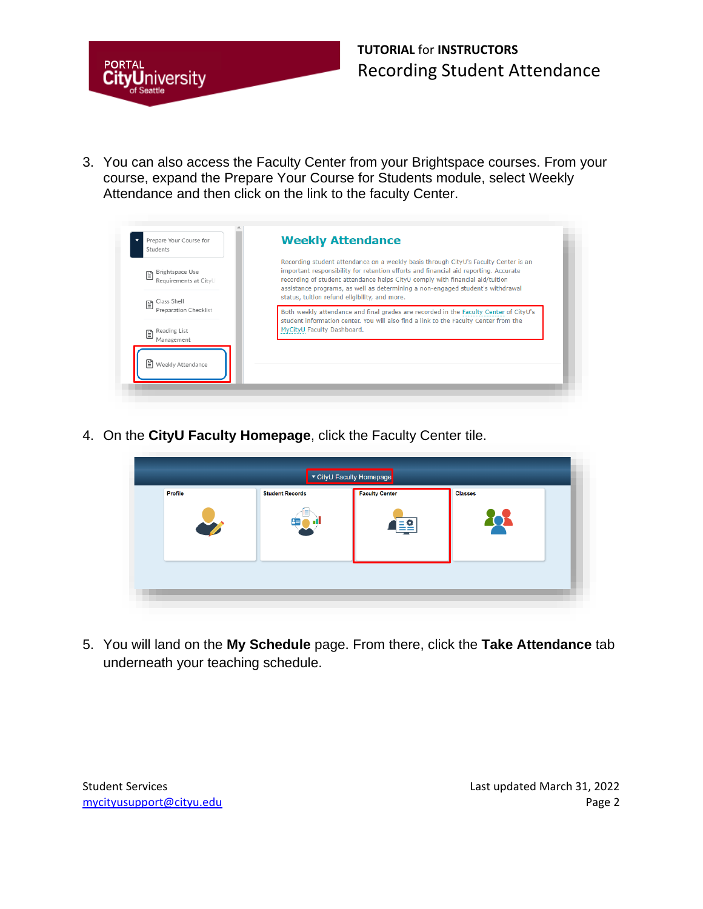

3. You can also access the Faculty Center from your Brightspace courses. From your course, expand the Prepare Your Course for Students module, select Weekly Attendance and then click on the link to the faculty Center.

| Prepare Your Course for<br>Students                         | <b>Weekly Attendance</b>                                                                                                                                                                                                                                                                                                                                                                        |
|-------------------------------------------------------------|-------------------------------------------------------------------------------------------------------------------------------------------------------------------------------------------------------------------------------------------------------------------------------------------------------------------------------------------------------------------------------------------------|
| Brightspace Use<br>囼<br>Requirements at CityU<br>lass Shell | Recording student attendance on a weekly basis through CityU's Faculty Center is an<br>important responsibility for retention efforts and financial aid reporting. Accurate<br>recording of student attendance helps CityU comply with financial aid/tuition<br>assistance programs, as well as determining a non-engaged student's withdrawal<br>status, tuition refund eligibility, and more. |
| 目<br><b>Preparation Checklist</b><br>Reading List<br>e      | Both weekly attendance and final grades are recorded in the Faculty Center of CityU's<br>student information center. You will also find a link to the Faculty Center from the<br>MyCityU Faculty Dashboard.                                                                                                                                                                                     |
| Management<br>  Weekly Attendance                           |                                                                                                                                                                                                                                                                                                                                                                                                 |

4. On the **CityU Faculty Homepage**, click the Faculty Center tile.

| Profile | <b>Student Records</b> | ▼ CityU Faculty Homepage<br><b>Faculty Center</b> | <b>Classes</b> |  |
|---------|------------------------|---------------------------------------------------|----------------|--|
|         |                        |                                                   |                |  |
|         |                        |                                                   |                |  |

5. You will land on the **My Schedule** page. From there, click the **Take Attendance** tab underneath your teaching schedule.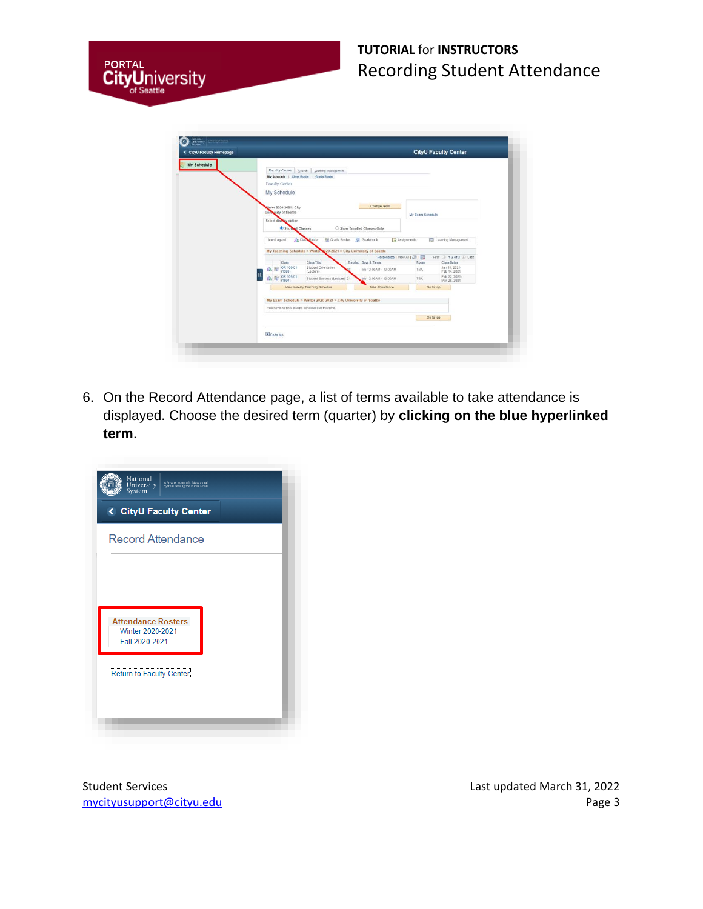

| <b>&lt; CityU Faculty Homepage</b> | <b>CityU Faculty Center</b>                                                                                                                |
|------------------------------------|--------------------------------------------------------------------------------------------------------------------------------------------|
|                                    |                                                                                                                                            |
| My Schedule                        | Faculty Center Search Learning Management                                                                                                  |
|                                    | My Schedule   Class Roster   Grade Roster                                                                                                  |
|                                    | <b>Faculty Center</b>                                                                                                                      |
|                                    | My Schedule                                                                                                                                |
|                                    |                                                                                                                                            |
|                                    | Change Term                                                                                                                                |
|                                    | Cinter 2020-2021   City<br>University of Seattle                                                                                           |
|                                    | My Exam Schedule<br>Select display option                                                                                                  |
|                                    |                                                                                                                                            |
|                                    | Show Il Classes<br>Show Enrolled Classes Only                                                                                              |
|                                    | Grade Roster<br><b>SW</b> Gradebook<br>Assignments<br><b>Ed</b> Learning Management<br>Icon Legend<br><b>Re</b> Class Roster               |
|                                    |                                                                                                                                            |
|                                    | My Teaching Schedule > Winter 1020-2021 > City University of Seattle                                                                       |
|                                    | Personalize   View All   (3)   [12]<br>First (4) 1-2 of 2 (a) Last<br>Class Title<br>Enrolled Days & Times<br>Class Dates<br>Class<br>Room |
|                                    | Student Orientation<br>OR 100-01<br>Jan 11, 2021-<br>高田<br>Mo 12:00AM - 12:00AM<br>TBA                                                     |
|                                    | Feb 14, 2021<br>(1593)<br>(Lecture)<br>OR 105-01<br>Feb 22, 2021-                                                                          |
|                                    | Student Success (Lecture) 21<br>Mo 12:00AM - 12:00AM<br>TBA<br>Mar 28, 2021<br>(1594)                                                      |
|                                    | View Weekly Teaching Schedule<br>Go to top<br>Take Attendance                                                                              |
|                                    |                                                                                                                                            |
|                                    | My Exam Schedule > Winter 2020-2021 > City University of Seattle                                                                           |
|                                    | You have no final exams scheduled at this time.                                                                                            |
|                                    | Go to too                                                                                                                                  |
|                                    |                                                                                                                                            |
|                                    |                                                                                                                                            |
|                                    | So to top                                                                                                                                  |

6. On the Record Attendance page, a list of terms available to take attendance is displayed. Choose the desired term (quarter) by **clicking on the blue hyperlinked term**.



Student Services **Last updated March 31, 2022** mycityusupport@cityu.edu entitledu Page 3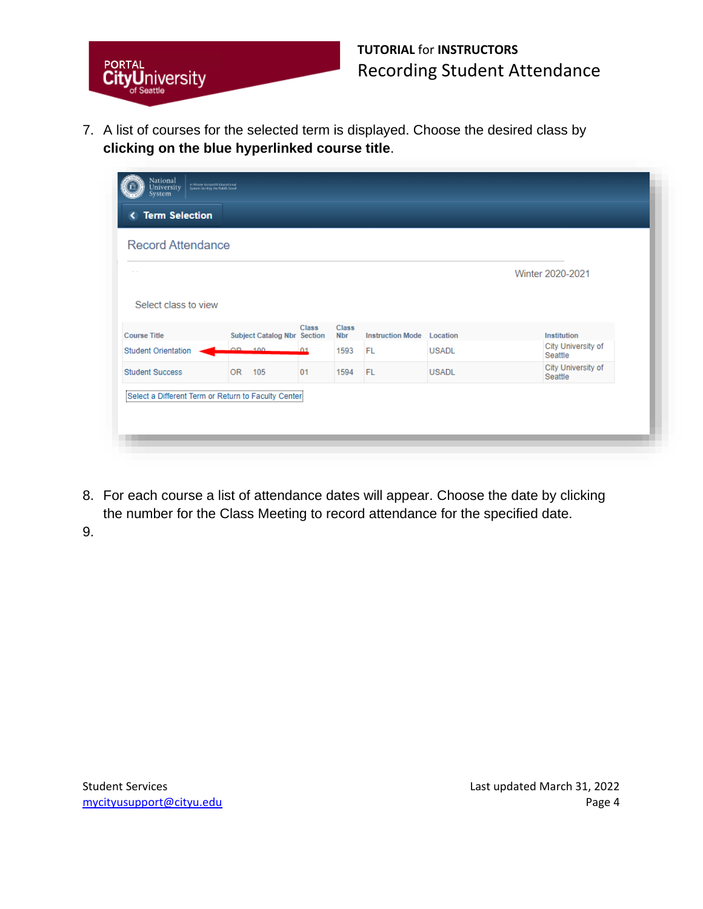

7. A list of courses for the selected term is displayed. Choose the desired class by **clicking on the blue hyperlinked course title**.

| <b>Record Attendance</b>   |                            |                                    |                       |                            |                         |              |                               |  |
|----------------------------|----------------------------|------------------------------------|-----------------------|----------------------------|-------------------------|--------------|-------------------------------|--|
|                            |                            |                                    |                       |                            |                         |              | Winter 2020-2021              |  |
| Select class to view       |                            |                                    |                       |                            |                         |              |                               |  |
| <b>Course Title</b>        |                            | <b>Subject Catalog Nbr Section</b> | <b>Class</b>          | <b>Class</b><br><b>Nbr</b> | <b>Instruction Mode</b> | Location     | Institution                   |  |
| <b>Student Orientation</b> | $\Omega$ $\Omega$ $\Omega$ |                                    | $\Omega$ <sup>1</sup> | 1593                       | FL                      | <b>USADL</b> | City University of<br>Seattle |  |
| <b>Student Success</b>     | <b>OR</b>                  | 105                                | 01                    | 1594                       | <b>FL</b>               | <b>USADL</b> | City University of<br>Seattle |  |

8. For each course a list of attendance dates will appear. Choose the date by clicking the number for the Class Meeting to record attendance for the specified date.

9.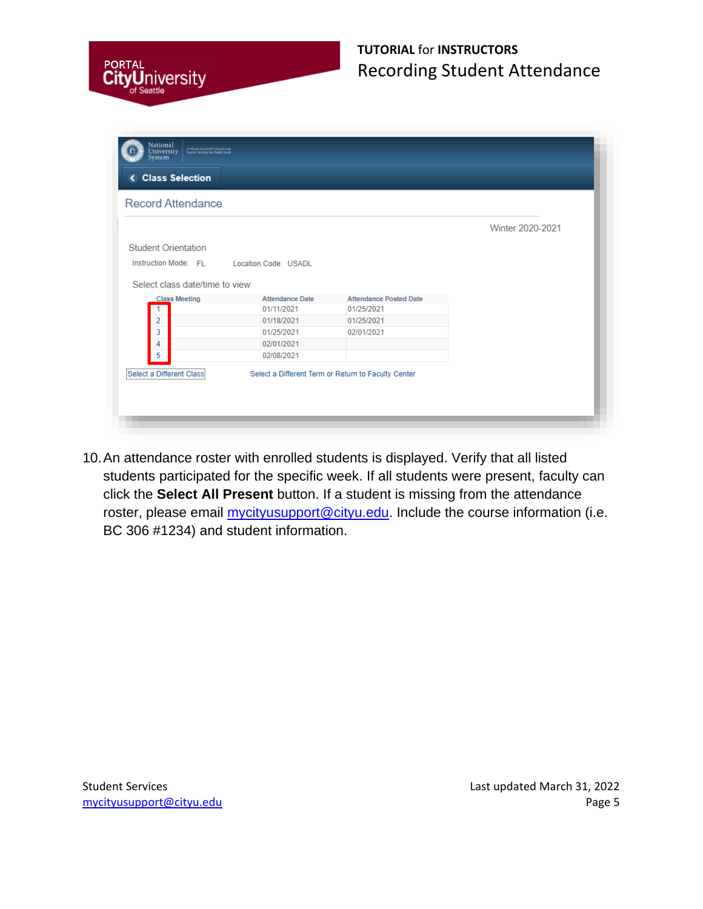

| <b>Record Attendance</b>       |                        |                               |                  |
|--------------------------------|------------------------|-------------------------------|------------------|
|                                |                        |                               | Winter 2020-2021 |
| <b>Student Orientation</b>     |                        |                               |                  |
|                                |                        |                               |                  |
| Instruction Mode: FL           | Location Code: USADL   |                               |                  |
| Select class date/time to view |                        |                               |                  |
|                                |                        |                               |                  |
| <b>Class Meeting</b>           | <b>Attendance Date</b> | <b>Attendance Posted Date</b> |                  |
| 1                              | 01/11/2021             | 01/25/2021                    |                  |
| $\overline{2}$                 | 01/18/2021             | 01/25/2021                    |                  |
| 3                              | 01/25/2021             | 02/01/2021                    |                  |
| 4                              | 02/01/2021             |                               |                  |

10.An attendance roster with enrolled students is displayed. Verify that all listed students participated for the specific week. If all students were present, faculty can click the **Select All Present** button. If a student is missing from the attendance roster, please email *mycityusupport@cityu.edu*. Include the course information (i.e. BC 306 #1234) and student information.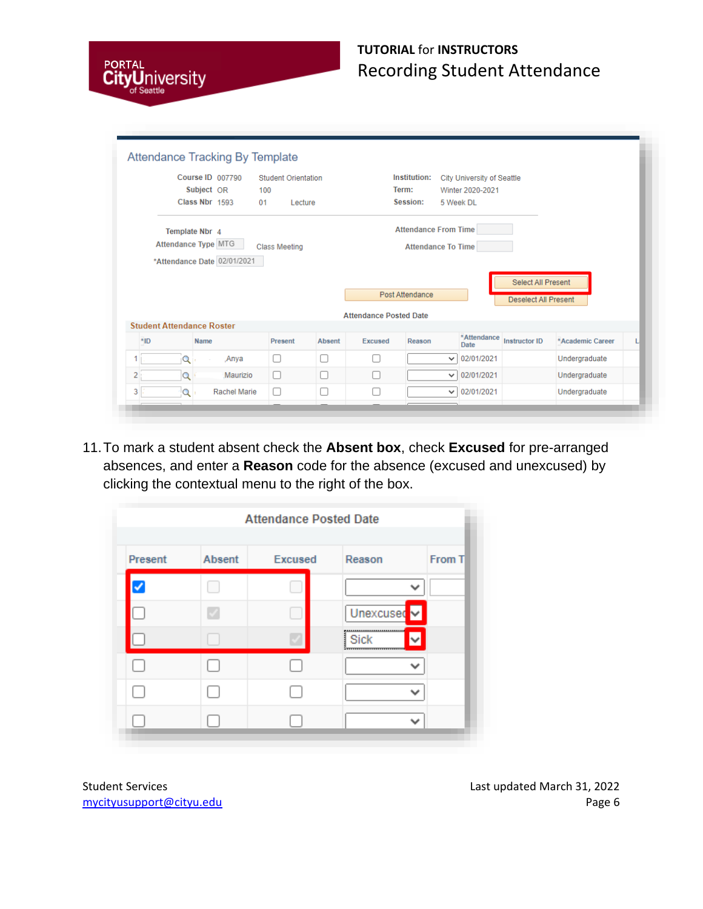

|     |                                  | Course ID 007790            | <b>Student Orientation</b> |               |                               | <b>Institution:</b>         | City University of Seattle |                                                   |                  |  |
|-----|----------------------------------|-----------------------------|----------------------------|---------------|-------------------------------|-----------------------------|----------------------------|---------------------------------------------------|------------------|--|
|     |                                  | Subject OR                  | 100                        |               |                               | Term:                       | Winter 2020-2021           |                                                   |                  |  |
|     |                                  | Class Nbr 1593              | 01<br>Lecture              |               |                               | Session:                    | 5 Week DL                  |                                                   |                  |  |
|     | Template Nbr 4                   |                             |                            |               |                               | <b>Attendance From Time</b> |                            |                                                   |                  |  |
|     | Attendance Type MTG              |                             | <b>Class Meeting</b>       |               |                               | <b>Attendance To Time</b>   |                            |                                                   |                  |  |
|     |                                  | *Attendance Date 02/01/2021 |                            |               |                               |                             |                            |                                                   |                  |  |
|     |                                  |                             |                            |               |                               |                             |                            |                                                   |                  |  |
|     |                                  |                             |                            |               |                               | Post Attendance             |                            | Select All Present<br><b>Deselect All Present</b> |                  |  |
|     |                                  |                             |                            |               | <b>Attendance Posted Date</b> |                             |                            |                                                   |                  |  |
| *ID | <b>Student Attendance Roster</b> | <b>Name</b>                 | Present                    | <b>Absent</b> | Excused                       | Reason                      | *Attendance<br>Date        | <b>Instructor ID</b>                              | *Academic Career |  |
|     | Q                                | ,Anya                       | $\Box$                     | п             |                               |                             | 02/01/2021<br>$\checkmark$ |                                                   | Undergraduate    |  |
| 2   | Q                                | Maurizio                    | ΙI                         | П             |                               |                             | 02/01/2021<br>$\checkmark$ |                                                   | Undergraduate    |  |

11.To mark a student absent check the **Absent box**, check **Excused** for pre-arranged absences, and enter a **Reason** code for the absence (excused and unexcused) by clicking the contextual menu to the right of the box.

|         |        | <b>Attendance Posted Date</b> |                        |        |
|---------|--------|-------------------------------|------------------------|--------|
| Present | Absent | Excused                       | Reason                 | From T |
|         |        |                               |                        |        |
|         | J      |                               | Unexcused <sup>v</sup> |        |
|         |        |                               | <br>Sick<br>           |        |
|         |        |                               |                        |        |
|         |        |                               |                        |        |
|         |        |                               |                        |        |

Student Services **Last updated March 31, 2022** mycityusupport@cityu.edu Page 6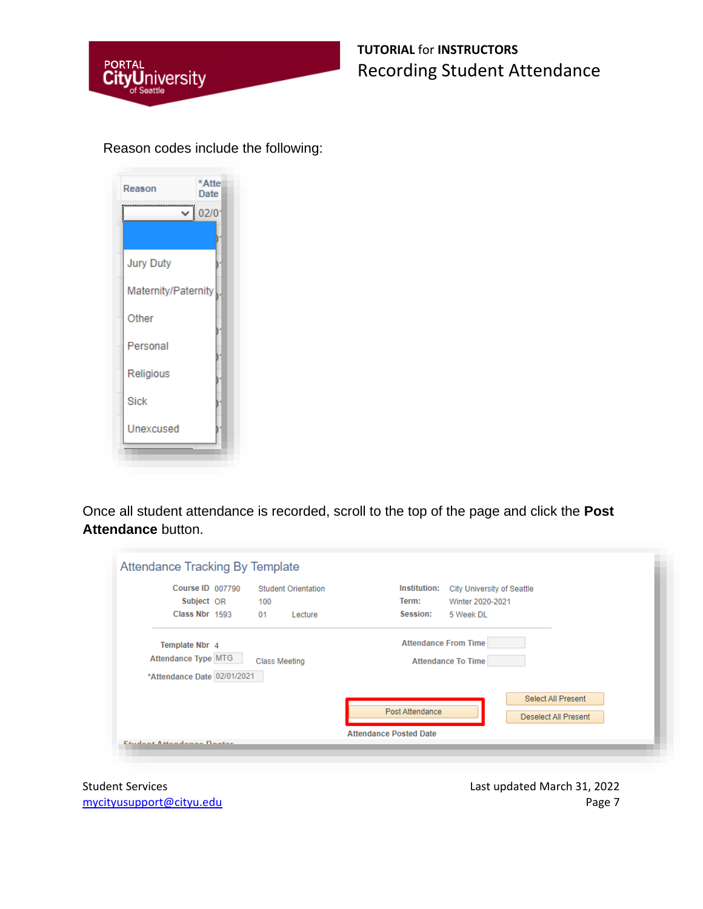

#### Reason codes include the following:

| Reason              | *Atte<br>Date |
|---------------------|---------------|
|                     | 02/0          |
|                     |               |
| <b>Jury Duty</b>    |               |
| Maternity/Paternity |               |
| Other               |               |
| Personal            |               |
| Religious           |               |
| <b>Sick</b>         |               |
| Unexcused           |               |

Once all student attendance is recorded, scroll to the top of the page and click the **Post Attendance** button.

|                             | Course ID 007790 |                      | <b>Student Orientation</b> | Institution:<br>City University of Seattle |
|-----------------------------|------------------|----------------------|----------------------------|--------------------------------------------|
| Subject OR                  |                  | 100                  |                            | Term:<br>Winter 2020-2021                  |
| Class Nbr 1593              |                  | 01                   | Lecture                    | Session:<br>5 Week DL                      |
| Template Nbr 4              |                  |                      |                            | <b>Attendance From Time</b>                |
| Attendance Type MTG         |                  | <b>Class Meeting</b> |                            | <b>Attendance To Time</b>                  |
| *Attendance Date 02/01/2021 |                  |                      |                            |                                            |
|                             |                  |                      |                            | Select All Present                         |
|                             |                  |                      |                            | Post Attendance<br>Deselect All Present    |

Student Services **Last updated March 31, 2022** mycityusupport@cityu.edu Page 7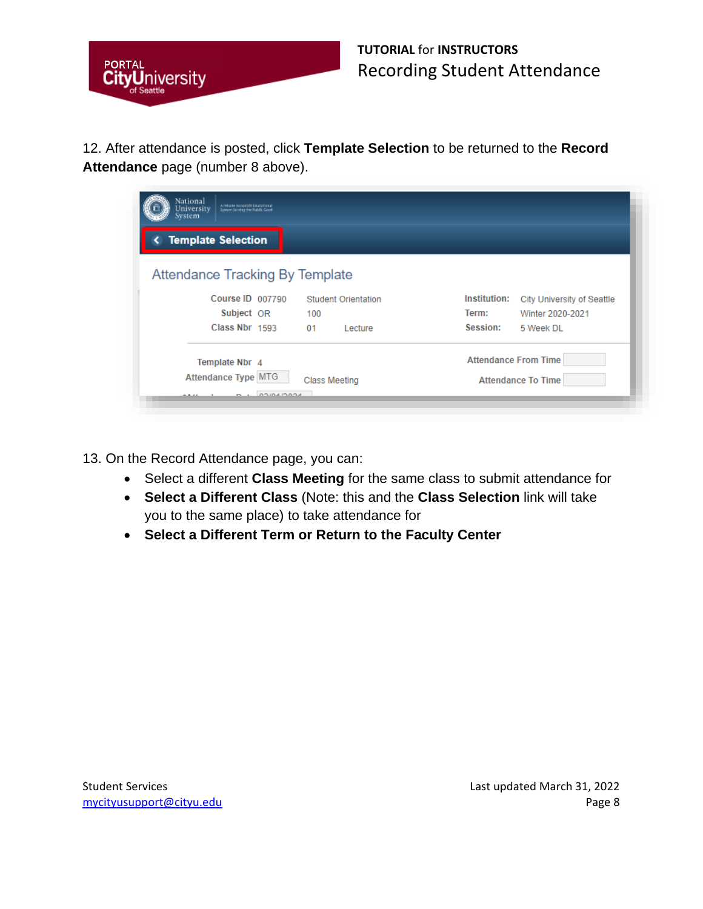

12. After attendance is posted, click **Template Selection** to be returned to the **Record Attendance** page (number 8 above).

| <b>Template Selection</b>              |                            |                                            |
|----------------------------------------|----------------------------|--------------------------------------------|
| <b>Attendance Tracking By Template</b> |                            |                                            |
| Course ID 007790                       | <b>Student Orientation</b> | Institution:<br>City University of Seattle |
| Subject OR                             | 100                        | Term:<br>Winter 2020-2021                  |
|                                        | 01<br>Lecture              | Session:<br>5 Week DL                      |
| Class Nbr 1593                         |                            |                                            |
| Template Nbr 4                         |                            | <b>Attendance From Time</b>                |

13. On the Record Attendance page, you can:

- Select a different **Class Meeting** for the same class to submit attendance for
- **Select a Different Class** (Note: this and the **Class Selection** link will take you to the same place) to take attendance for
- **Select a Different Term or Return to the Faculty Center**